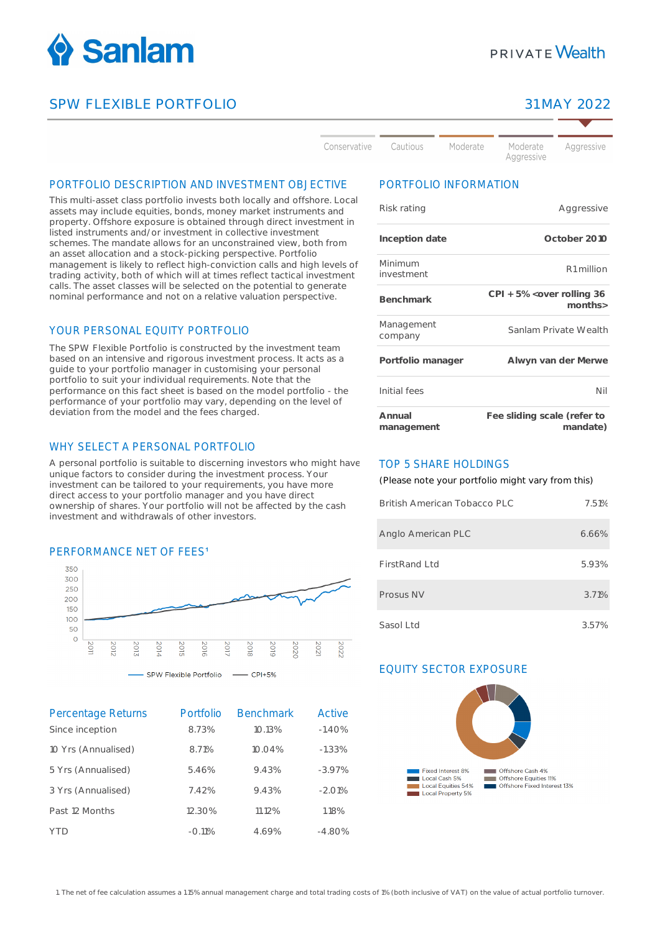

# SPW FLEXIBLE PORTFOLIO 31 MAY 2022

# **PRIVATE Wealth**

Aggressive

Conservative Cautious

Moderate

Aggressive

# PORTFOLIO DESCRIPTION AND INVESTMENT OBJECTIVE

This multi-asset class portfolio invests both locally and offshore. Local assets may include equities, bonds, money market instruments and property. Offshore exposure is obtained through direct investment in listed instruments and/or investment in collective investment schemes. The mandate allows for an unconstrained view, both from an asset allocation and a stock-picking perspective. Portfolio management is likely to reflect high-conviction calls and high levels of trading activity, both of which will at times reflect tactical investment calls. The asset classes will be selected on the potential to generate nominal performance and not on a relative valuation perspective.

# YOUR PERSONAL FOUTTY PORTFOLIO

The SPW Flexible Portfolio is constructed by the investment team based on an intensive and rigorous investment process. It acts as a guide to your portfolio manager in customising your personal portfolio to suit your individual requirements. Note that the performance on this fact sheet is based on the model portfolio - the performance of your portfolio may vary, depending on the level of deviation from the model and the fees charged.

# WHY SELECT A PERSONAL PORTFOLIO

A personal portfolio is suitable to discerning investors who might have unique factors to consider during the investment process. Your investment can be tailored to your requirements, you have more direct access to your portfolio manager and you have direct ownership of shares. Your portfolio will not be affected by the cash investment and withdrawals of other investors.

# PERFORMANCE NET OF FFES<sup>1</sup>



| <b>Percentage Returns</b> | Portfolio | <b>Benchmark</b> | Active   |
|---------------------------|-----------|------------------|----------|
| Since inception           | 8.73%     | 10.13%           | $-1.40%$ |
| 10 Yrs (Annualised)       | 8.71%     | 10.04%           | $-1.33%$ |
| 5 Yrs (Annualised)        | 5.46%     | 9.43%            | $-3.97%$ |
| 3 Yrs (Annualised)        | 7.42%     | 9.43%            | $-2.01%$ |
| Past 12 Months            | 12.30%    | 11.12%           | 1.18%    |
| YTN                       | $-0.11%$  | 4.69%            | $-4.80%$ |

# PORTFOLIO INFORMATION

Moderate

| Risk rating           | Aggressive                              |
|-----------------------|-----------------------------------------|
| Inception date        | October 2010                            |
| Minimum<br>investment | R <sub>1</sub> million                  |
| Benchmark             | CPI + 5% < over rolling 36<br>months>   |
| Management<br>company | Sanlam Private Wealth                   |
| Portfolio manager     | Alwyn van der Merwe                     |
| Initial fees          | Nil                                     |
| Annual<br>management  | Fee sliding scale (refer to<br>mandate) |

#### TOP 5 SHARE HOLDINGS

(Please note your portfolio might vary from this)

| British American Tobacco PLC | 7.51% |
|------------------------------|-------|
| Anglo American PLC           | 6.66% |
| FirstRand Ltd                | 5.93% |
| Prosus NV                    | 3.71% |
| Sasol Ltd                    | 3.57% |

# EQUITY SECTOR EXPOSURE